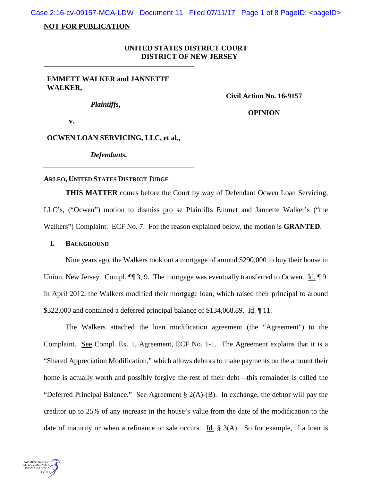Case 2:16-cv-09157-MCA-LDW Document 11 Filed 07/11/17 Page 1 of 8 PageID: <pageID>

## **NOT FOR PUBLICATION**

# **UNITED STATES DISTRICT COURT DISTRICT OF NEW JERSEY**

**EMMETT WALKER and JANNETTE WALKER,**

*Plaintiffs***,**

**Civil Action No. 16-9157**

**v.**

**OPINION**

**OCWEN LOAN SERVICING, LLC, et al.,**

*Defendants***.**

#### **ARLEO, UNITED STATES DISTRICT JUDGE**

**THIS MATTER** comes before the Court by way of Defendant Ocwen Loan Servicing, LLC's, ("Ocwen") motion to dismiss pro se Plaintiffs Emmet and Jannette Walker's ("the Walkers") Complaint. ECF No. 7. For the reason explained below, the motion is **GRANTED**.

## **I. BACKGROUND**

Nine years ago, the Walkers took out a mortgage of around \$290,000 to buy their house in Union, New Jersey. Compl.  $\P\P$  3, 9. The mortgage was eventually transferred to Ocwen. Id.  $\P$  9. In April 2012, the Walkers modified their mortgage loan, which raised their principal to around \$322,000 and contained a deferred principal balance of \$134,068.89. Id. ¶ 11.

The Walkers attached the loan modification agreement (the "Agreement") to the Complaint. See Compl. Ex. 1, Agreement, ECF No. 1-1. The Agreement explains that it is a "Shared Appreciation Modification," which allows debtors to make payments on the amount their home is actually worth and possibly forgive the rest of their debt—this remainder is called the "Deferred Principal Balance." See Agreement § 2(A)-(B). In exchange, the debtor will pay the creditor up to 25% of any increase in the house's value from the date of the modification to the date of maturity or when a refinance or sale occurs. Id.  $\S$  3(A). So for example, if a loan is

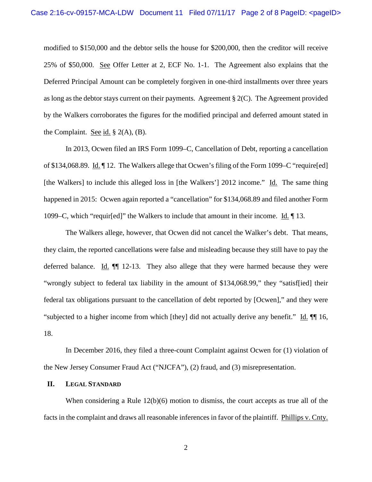modified to \$150,000 and the debtor sells the house for \$200,000, then the creditor will receive 25% of \$50,000. See Offer Letter at 2, ECF No. 1-1. The Agreement also explains that the Deferred Principal Amount can be completely forgiven in one-third installments over three years as long as the debtor stays current on their payments. Agreement  $\S 2(C)$ . The Agreement provided by the Walkers corroborates the figures for the modified principal and deferred amount stated in the Complaint. See id.  $\S$  2(A), (B).

In 2013, Ocwen filed an IRS Form 1099–C, Cancellation of Debt, reporting a cancellation of \$134,068.89. Id. ¶ 12. The Walkers allege that Ocwen's filing of the Form 1099–C "require[ed] [the Walkers] to include this alleged loss in [the Walkers'] 2012 income." Id. The same thing happened in 2015: Ocwen again reported a "cancellation" for \$134,068.89 and filed another Form 1099–C, which "requir[ed]" the Walkers to include that amount in their income. Id. ¶ 13.

The Walkers allege, however, that Ocwen did not cancel the Walker's debt. That means, they claim, the reported cancellations were false and misleading because they still have to pay the deferred balance. Id. ¶¶ 12-13. They also allege that they were harmed because they were "wrongly subject to federal tax liability in the amount of \$134,068.99," they "satisf[ied] their federal tax obligations pursuant to the cancellation of debt reported by [Ocwen]," and they were "subjected to a higher income from which [they] did not actually derive any benefit." Id. ¶¶ 16, 18.

In December 2016, they filed a three-count Complaint against Ocwen for (1) violation of the New Jersey Consumer Fraud Act ("NJCFA"), (2) fraud, and (3) misrepresentation.

### **II. LEGAL STANDARD**

When considering a Rule 12(b)(6) motion to dismiss, the court accepts as true all of the facts in the complaint and draws all reasonable inferences in favor of the plaintiff. Phillips v. Cnty.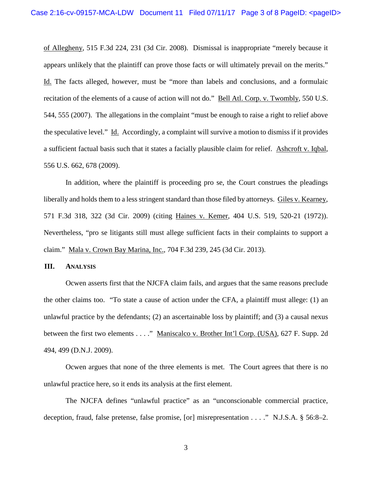of Allegheny, 515 F.3d 224, 231 (3d Cir. 2008). Dismissal is inappropriate "merely because it appears unlikely that the plaintiff can prove those facts or will ultimately prevail on the merits." Id. The facts alleged, however, must be "more than labels and conclusions, and a formulaic recitation of the elements of a cause of action will not do." Bell Atl. Corp. v. Twombly, 550 U.S. 544, 555 (2007). The allegations in the complaint "must be enough to raise a right to relief above the speculative level." Id. Accordingly, a complaint will survive a motion to dismiss if it provides a sufficient factual basis such that it states a facially plausible claim for relief. Ashcroft v. Iqbal, 556 U.S. 662, 678 (2009).

In addition, where the plaintiff is proceeding pro se, the Court construes the pleadings liberally and holds them to a less stringent standard than those filed by attorneys. Giles v. Kearney, 571 F.3d 318, 322 (3d Cir. 2009) (citing Haines v. Kemer, 404 U.S. 519, 520-21 (1972)). Nevertheless, "pro se litigants still must allege sufficient facts in their complaints to support a claim." Mala v. Crown Bay Marina, Inc., 704 F.3d 239, 245 (3d Cir. 2013).

#### **III. ANALYSIS**

Ocwen asserts first that the NJCFA claim fails, and argues that the same reasons preclude the other claims too. "To state a cause of action under the CFA, a plaintiff must allege: (1) an unlawful practice by the defendants; (2) an ascertainable loss by plaintiff; and (3) a causal nexus between the first two elements . . . ." Maniscalco v. Brother Int'l Corp. (USA), 627 F. Supp. 2d 494, 499 (D.N.J. 2009).

Ocwen argues that none of the three elements is met. The Court agrees that there is no unlawful practice here, so it ends its analysis at the first element.

The NJCFA defines "unlawful practice" as an "unconscionable commercial practice, deception, fraud, false pretense, false promise, [or] misrepresentation . . . ." N.J.S.A. § 56:8–2.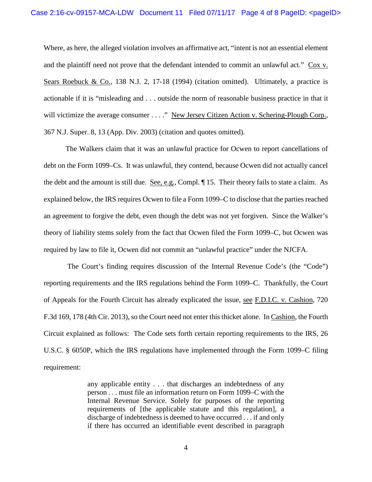Where, as here, the alleged violation involves an affirmative act, "intent is not an essential element and the plaintiff need not prove that the defendant intended to commit an unlawful act." Cox v. Sears Roebuck & Co., 138 N.J. 2, 17-18 (1994) (citation omitted). Ultimately, a practice is actionable if it is "misleading and . . . outside the norm of reasonable business practice in that it will victimize the average consumer . . . ." New Jersey Citizen Action v. Schering-Plough Corp., 367 N.J. Super. 8, 13 (App. Div. 2003) (citation and quotes omitted).

The Walkers claim that it was an unlawful practice for Ocwen to report cancellations of debt on the Form 1099–Cs. It was unlawful, they contend, because Ocwen did not actually cancel the debt and the amount is still due. See, e.g., Compl. ¶ 15. Their theory fails to state a claim. As explained below, the IRS requires Ocwen to file a Form 1099–C to disclose that the parties reached an agreement to forgive the debt, even though the debt was not yet forgiven. Since the Walker's theory of liability stems solely from the fact that Ocwen filed the Form 1099–C, but Ocwen was required by law to file it, Ocwen did not commit an "unlawful practice" under the NJCFA.

The Court's finding requires discussion of the Internal Revenue Code's (the "Code") reporting requirements and the IRS regulations behind the Form 1099–C. Thankfully, the Court of Appeals for the Fourth Circuit has already explicated the issue, see F.D.I.C. v. Cashion, 720 F.3d 169, 178 (4th Cir. 2013), so the Court need not enter this thicket alone. In Cashion, the Fourth Circuit explained as follows: The Code sets forth certain reporting requirements to the IRS, 26 U.S.C. § 6050P, which the IRS regulations have implemented through the Form 1099–C filing requirement:

> any applicable entity . . . that discharges an indebtedness of any person . . . must file an information return on Form 1099–C with the Internal Revenue Service. Solely for purposes of the reporting requirements of [the applicable statute and this regulation], a discharge of indebtedness is deemed to have occurred . . . if and only if there has occurred an identifiable event described in paragraph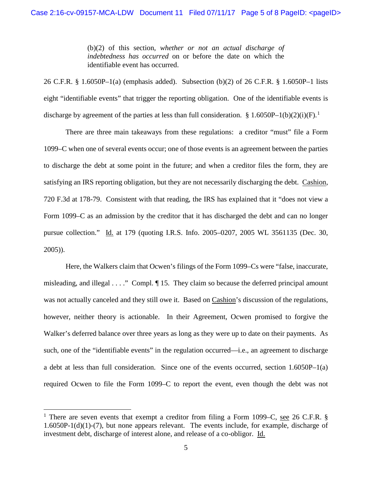(b)(2) of this section, *whether or not an actual discharge of indebtedness has occurred* on or before the date on which the identifiable event has occurred.

26 C.F.R. § 1.6050P–1(a) (emphasis added). Subsection (b)(2) of 26 C.F.R. § 1.6050P–1 lists eight "identifiable events" that trigger the reporting obligation. One of the identifiable events is discharge by agreement of the parties at less than full consideration. § [1](#page-4-0).6050P-1(b)(2)(i)(F).<sup>1</sup>

There are three main takeaways from these regulations: a creditor "must" file a Form 1099–C when one of several events occur; one of those events is an agreement between the parties to discharge the debt at some point in the future; and when a creditor files the form, they are satisfying an IRS reporting obligation, but they are not necessarily discharging the debt. Cashion, 720 F.3d at 178-79. Consistent with that reading, the IRS has explained that it "does not view a Form 1099–C as an admission by the creditor that it has discharged the debt and can no longer pursue collection." Id. at 179 (quoting I.R.S. Info. 2005–0207, 2005 WL 3561135 (Dec. 30, 2005)).

Here, the Walkers claim that Ocwen's filings of the Form 1099–Cs were "false, inaccurate, misleading, and illegal . . . ." Compl. ¶ 15. They claim so because the deferred principal amount was not actually canceled and they still owe it. Based on Cashion's discussion of the regulations, however, neither theory is actionable. In their Agreement, Ocwen promised to forgive the Walker's deferred balance over three years as long as they were up to date on their payments. As such, one of the "identifiable events" in the regulation occurred—i.e., an agreement to discharge a debt at less than full consideration. Since one of the events occurred, section 1.6050P–1(a) required Ocwen to file the Form 1099–C to report the event, even though the debt was not

<span id="page-4-0"></span><sup>&</sup>lt;sup>1</sup> There are seven events that exempt a creditor from filing a Form 1099–C, see 26 C.F.R. § 1.6050P-1(d)(1)-(7), but none appears relevant. The events include, for example, discharge of investment debt, discharge of interest alone, and release of a co-obligor. Id.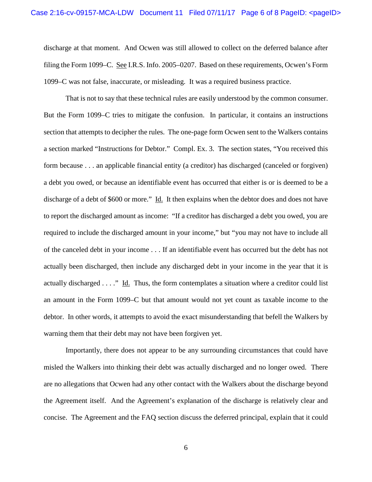discharge at that moment. And Ocwen was still allowed to collect on the deferred balance after filing the Form 1099–C. See I.R.S. Info. 2005–0207. Based on these requirements, Ocwen's Form 1099–C was not false, inaccurate, or misleading. It was a required business practice.

That is not to say that these technical rules are easily understood by the common consumer. But the Form 1099–C tries to mitigate the confusion. In particular, it contains an instructions section that attempts to decipher the rules. The one-page form Ocwen sent to the Walkers contains a section marked "Instructions for Debtor." Compl. Ex. 3. The section states, "You received this form because . . . an applicable financial entity (a creditor) has discharged (canceled or forgiven) a debt you owed, or because an identifiable event has occurred that either is or is deemed to be a discharge of a debt of \$600 or more." Id. It then explains when the debtor does and does not have to report the discharged amount as income: "If a creditor has discharged a debt you owed, you are required to include the discharged amount in your income," but "you may not have to include all of the canceled debt in your income . . . If an identifiable event has occurred but the debt has not actually been discharged, then include any discharged debt in your income in the year that it is actually discharged . . . ." Id. Thus, the form contemplates a situation where a creditor could list an amount in the Form 1099–C but that amount would not yet count as taxable income to the debtor. In other words, it attempts to avoid the exact misunderstanding that befell the Walkers by warning them that their debt may not have been forgiven yet.

Importantly, there does not appear to be any surrounding circumstances that could have misled the Walkers into thinking their debt was actually discharged and no longer owed. There are no allegations that Ocwen had any other contact with the Walkers about the discharge beyond the Agreement itself. And the Agreement's explanation of the discharge is relatively clear and concise. The Agreement and the FAQ section discuss the deferred principal, explain that it could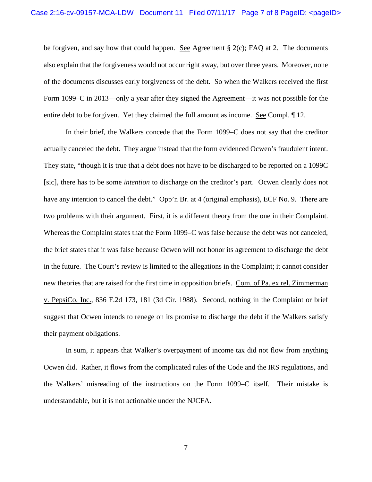be forgiven, and say how that could happen. See Agreement  $\S$  2(c); FAQ at 2. The documents also explain that the forgiveness would not occur right away, but over three years. Moreover, none of the documents discusses early forgiveness of the debt. So when the Walkers received the first Form 1099–C in 2013—only a year after they signed the Agreement—it was not possible for the entire debt to be forgiven. Yet they claimed the full amount as income. See Compl. ¶ 12.

In their brief, the Walkers concede that the Form 1099–C does not say that the creditor actually canceled the debt. They argue instead that the form evidenced Ocwen's fraudulent intent. They state, "though it is true that a debt does not have to be discharged to be reported on a 1099C [sic], there has to be some *intention* to discharge on the creditor's part. Ocwen clearly does not have any intention to cancel the debt." Opp'n Br. at 4 (original emphasis), ECF No. 9. There are two problems with their argument. First, it is a different theory from the one in their Complaint. Whereas the Complaint states that the Form 1099–C was false because the debt was not canceled, the brief states that it was false because Ocwen will not honor its agreement to discharge the debt in the future. The Court's review is limited to the allegations in the Complaint; it cannot consider new theories that are raised for the first time in opposition briefs. Com. of Pa. ex rel. Zimmerman v. PepsiCo, Inc., 836 F.2d 173, 181 (3d Cir. 1988). Second, nothing in the Complaint or brief suggest that Ocwen intends to renege on its promise to discharge the debt if the Walkers satisfy their payment obligations.

In sum, it appears that Walker's overpayment of income tax did not flow from anything Ocwen did. Rather, it flows from the complicated rules of the Code and the IRS regulations, and the Walkers' misreading of the instructions on the Form 1099–C itself. Their mistake is understandable, but it is not actionable under the NJCFA.

7